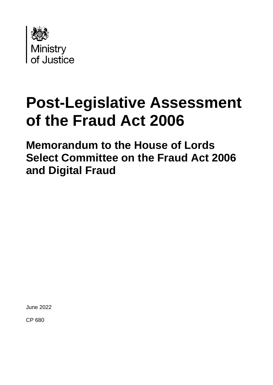

# **Post-Legislative Assessment of the Fraud Act 2006**

**Memorandum to the House of Lords Select Committee on the Fraud Act 2006 and Digital Fraud**

June 2022

CP 680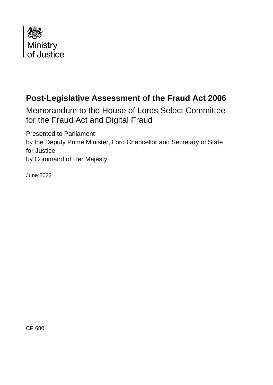

## **Post-Legislative Assessment of the Fraud Act 2006**

Memorandum to the House of Lords Select Committee for the Fraud Act and Digital Fraud

Presented to Parliament by the Deputy Prime Minister, Lord Chancellor and Secretary of State for Justice by Command of Her Majesty

June 2022

CP 680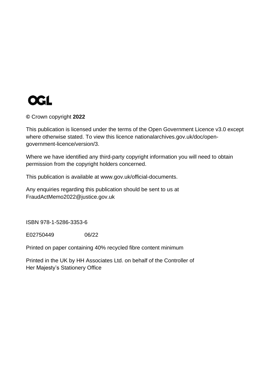

#### **©** Crown copyright **2022**

This publication is licensed under the terms of the Open Government Licence v3.0 except where otherwise stated. To view this licence [nationalarchives.gov.uk/doc/open](http://www.nationalarchives.gov.uk/doc/open-government-licence/version/3)[government-licence/version/3.](http://www.nationalarchives.gov.uk/doc/open-government-licence/version/3)

Where we have identified any third-party copyright information you will need to obtain permission from the copyright holders concerned.

This publication is available at [www.gov.uk/official-documents.](https://www.gov.uk/government/publications)

Any enquiries regarding this publication should be sent to us at [FraudActMemo2022@justice.gov.uk](mailto:FraudActMemo2022@justice.gov.uk)

ISBN 978-1-5286-3353-6

E02750449 06/22

Printed on paper containing 40% recycled fibre content minimum

Printed in the UK by HH Associates Ltd. on behalf of the Controller of Her Majesty's Stationery Office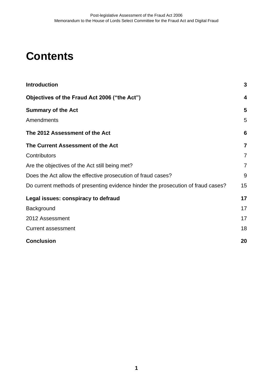## **Contents**

| <b>Introduction</b>                                                              | 3              |
|----------------------------------------------------------------------------------|----------------|
| Objectives of the Fraud Act 2006 ("the Act")                                     | 4              |
| <b>Summary of the Act</b>                                                        | 5              |
| Amendments                                                                       | 5              |
| The 2012 Assessment of the Act                                                   | 6              |
| The Current Assessment of the Act                                                | $\overline{7}$ |
| Contributors                                                                     | 7              |
| Are the objectives of the Act still being met?                                   | $\overline{7}$ |
| Does the Act allow the effective prosecution of fraud cases?                     | 9              |
| Do current methods of presenting evidence hinder the prosecution of fraud cases? | 15             |
| Legal issues: conspiracy to defraud                                              | 17             |
| Background                                                                       | 17             |
| 2012 Assessment                                                                  | 17             |
| <b>Current assessment</b>                                                        | 18             |
| <b>Conclusion</b>                                                                | 20             |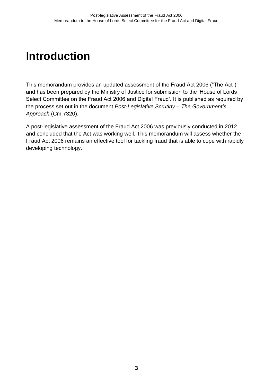## <span id="page-6-0"></span>**Introduction**

This memorandum provides an updated assessment of the Fraud Act 2006 ("The Act") and has been prepared by the Ministry of Justice for submission to the 'House of Lords Select Committee on the Fraud Act 2006 and Digital Fraud'. It is published as required by the process set out in the document *Post-Legislative Scrutiny – The Government's Approach* (Cm 7320).

A post-legislative assessment of the Fraud Act 2006 was previously conducted in 2012 and concluded that the Act was working well. This memorandum will assess whether the Fraud Act 2006 remains an effective tool for tackling fraud that is able to cope with rapidly developing technology.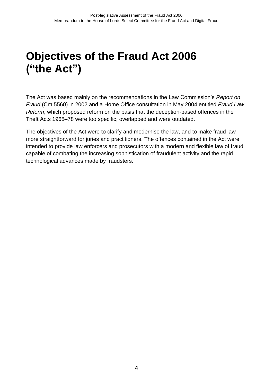## <span id="page-7-0"></span>**Objectives of the Fraud Act 2006 ("the Act")**

The Act was based mainly on the recommendations in the Law Commission's *Report on Fraud* (Cm 5560) in 2002 and a Home Office consultation in May 2004 entitled *Fraud Law Reform*, which proposed reform on the basis that the deception-based offences in the Theft Acts 1968–78 were too specific, overlapped and were outdated.

The objectives of the Act were to clarify and modernise the law, and to make fraud law more straightforward for juries and practitioners. The offences contained in the Act were intended to provide law enforcers and prosecutors with a modern and flexible law of fraud capable of combating the increasing sophistication of fraudulent activity and the rapid technological advances made by fraudsters.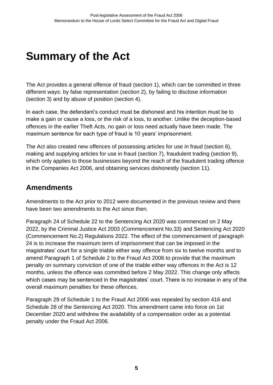## <span id="page-8-0"></span>**Summary of the Act**

The Act provides a general offence of fraud (section 1), which can be committed in three different ways: by false representation (section 2), by failing to disclose information (section 3) and by abuse of position (section 4).

In each case, the defendant's conduct must be dishonest and his intention must be to make a gain or cause a loss, or the risk of a loss, to another. Unlike the deception-based offences in the earlier Theft Acts, no gain or loss need actually have been made. The maximum sentence for each type of fraud is 10 years' imprisonment.

The Act also created new offences of possessing articles for use in fraud (section 6), making and supplying articles for use in fraud (section 7), fraudulent trading (section 9), which only applies to those businesses beyond the reach of the fraudulent trading offence in the Companies Act 2006, and obtaining services dishonestly (section 11).

## <span id="page-8-1"></span>**Amendments**

Amendments to the Act prior to 2012 were documented in the previous review and there have been two amendments to the Act since then.

Paragraph 24 of Schedule 22 to the Sentencing Act 2020 was commenced on 2 May 2022, by the Criminal Justice Act 2003 (Commencement No.33) and Sentencing Act 2020 (Commencement No.2) Regulations 2022. The effect of the commencement of paragraph 24 is to increase the maximum term of imprisonment that can be imposed in the magistrates' court for a single triable either way offence from six to twelve months and to amend Paragraph 1 of Schedule 2 to the Fraud Act 2006 to provide that the maximum penalty on summary conviction of one of the triable either way offences in the Act is 12 months, unless the offence was committed before 2 May 2022. This change only affects which cases may be sentenced in the magistrates' court. There is no increase in any of the overall maximum penalties for these offences.

Paragraph 29 of Schedule 1 to the Fraud Act 2006 was repealed by section 416 and Schedule 28 of the Sentencing Act 2020. This amendment came into force on 1st December 2020 and withdrew the availability of a compensation order as a potential penalty under the Fraud Act 2006.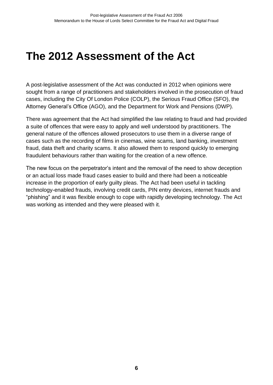## <span id="page-9-0"></span>**The 2012 Assessment of the Act**

A post-legislative assessment of the Act was conducted in 2012 when opinions were sought from a range of practitioners and stakeholders involved in the prosecution of fraud cases, including the City Of London Police (COLP), the Serious Fraud Office (SFO), the Attorney General's Office (AGO), and the Department for Work and Pensions (DWP).

There was agreement that the Act had simplified the law relating to fraud and had provided a suite of offences that were easy to apply and well understood by practitioners. The general nature of the offences allowed prosecutors to use them in a diverse range of cases such as the recording of films in cinemas, wine scams, land banking, investment fraud, data theft and charity scams. It also allowed them to respond quickly to emerging fraudulent behaviours rather than waiting for the creation of a new offence.

The new focus on the perpetrator's intent and the removal of the need to show deception or an actual loss made fraud cases easier to build and there had been a noticeable increase in the proportion of early guilty pleas. The Act had been useful in tackling technology-enabled frauds, involving credit cards, PIN entry devices, internet frauds and "phishing" and it was flexible enough to cope with rapidly developing technology. The Act was working as intended and they were pleased with it.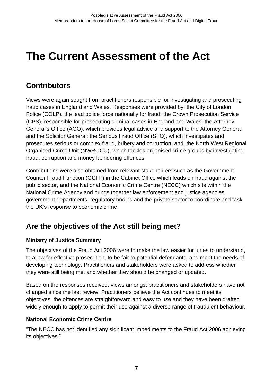## <span id="page-10-0"></span>**The Current Assessment of the Act**

## <span id="page-10-1"></span>**Contributors**

Views were again sought from practitioners responsible for investigating and prosecuting fraud cases in England and Wales. Responses were provided by: the City of London Police (COLP), the lead police force nationally for fraud; the Crown Prosecution Service (CPS), responsible for prosecuting criminal cases in England and Wales; the Attorney General's Office (AGO), which provides legal advice and support to the Attorney General and the Solicitor General; the Serious Fraud Office (SFO), which investigates and prosecutes serious or complex fraud, bribery and corruption; and, the North West Regional Organised Crime Unit (NWROCU), which tackles organised crime groups by investigating fraud, corruption and money laundering offences.

Contributions were also obtained from relevant stakeholders such as the Government Counter Fraud Function (GCFF) in the Cabinet Office which leads on fraud against the public sector, and the National Economic Crime Centre (NECC) which sits within the National Crime Agency and brings together law enforcement and justice agencies, government departments, regulatory bodies and the private sector to coordinate and task the UK's response to economic crime.

## <span id="page-10-2"></span>**Are the objectives of the Act still being met?**

## **Ministry of Justice Summary**

The objectives of the Fraud Act 2006 were to make the law easier for juries to understand, to allow for effective prosecution, to be fair to potential defendants, and meet the needs of developing technology. Practitioners and stakeholders were asked to address whether they were still being met and whether they should be changed or updated.

Based on the responses received, views amongst practitioners and stakeholders have not changed since the last review. Practitioners believe the Act continues to meet its objectives, the offences are straightforward and easy to use and they have been drafted widely enough to apply to permit their use against a diverse range of fraudulent behaviour.

#### **National Economic Crime Centre**

"The NECC has not identified any significant impediments to the Fraud Act 2006 achieving its objectives."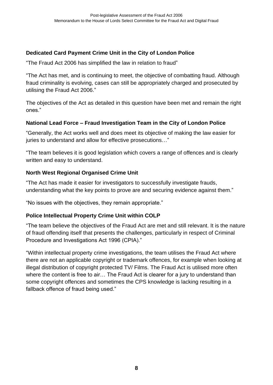## **Dedicated Card Payment Crime Unit in the City of London Police**

"The Fraud Act 2006 has simplified the law in relation to fraud"

"The Act has met, and is continuing to meet, the objective of combatting fraud. Although fraud criminality is evolving, cases can still be appropriately charged and prosecuted by utilising the Fraud Act 2006."

The objectives of the Act as detailed in this question have been met and remain the right ones."

#### **National Lead Force – Fraud Investigation Team in the City of London Police**

"Generally, the Act works well and does meet its objective of making the law easier for juries to understand and allow for effective prosecutions..."

"The team believes it is good legislation which covers a range of offences and is clearly written and easy to understand.

#### **North West Regional Organised Crime Unit**

"The Act has made it easier for investigators to successfully investigate frauds, understanding what the key points to prove are and securing evidence against them."

"No issues with the objectives, they remain appropriate."

## **Police Intellectual Property Crime Unit within COLP**

"The team believe the objectives of the Fraud Act are met and still relevant. It is the nature of fraud offending itself that presents the challenges, particularly in respect of Criminal Procedure and Investigations Act 1996 (CPIA)."

"Within intellectual property crime investigations, the team utilises the Fraud Act where there are not an applicable copyright or trademark offences, for example when looking at illegal distribution of copyright protected TV/ Films. The Fraud Act is utilised more often where the content is free to air… The Fraud Act is clearer for a jury to understand than some copyright offences and sometimes the CPS knowledge is lacking resulting in a fallback offence of fraud being used."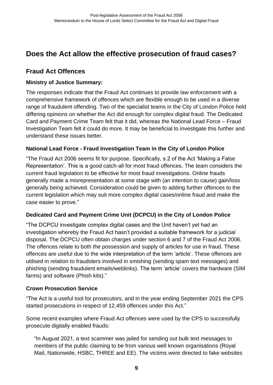## <span id="page-12-0"></span>**Does the Act allow the effective prosecution of fraud cases?**

## **Fraud Act Offences**

#### **Ministry of Justice Summary:**

The responses indicate that the Fraud Act continues to provide law enforcement with a comprehensive framework of offences which are flexible enough to be used in a diverse range of fraudulent offending. Two of the specialist teams in the City of London Police held differing opinions on whether the Act did enough for complex digital fraud. The Dedicated Card and Payment Crime Team felt that it did, whereas the National Lead Force – Fraud Investigation Team felt it could do more. It may be beneficial to investigate this further and understand these issues better.

#### **National Lead Force - Fraud Investigation Team in the City of London Police**

"The Fraud Act 2006 seems fit for purpose. Specifically, s.2 of the Act 'Making a False Representation'. This is a good catch-all for most fraud offences. The team considers the current fraud legislation to be effective for most fraud investigations. Online frauds generally made a misrepresentation at some stage with (an intention to cause) gain/loss generally being achieved. Consideration could be given to adding further offences to the current legislation which may suit more complex digital cases/online fraud and make the case easier to prove."

#### **Dedicated Card and Payment Crime Unit (DCPCU) in the City of London Police**

"The DCPCU investigate complex digital cases and the Unit haven't yet had an investigation whereby the Fraud Act hasn't provided a suitable framework for a judicial disposal. The DCPCU often obtain charges under section 6 and 7 of the Fraud Act 2006. The offences relate to both the possession and supply of articles for use in fraud. These offences are useful due to the wide interpretation of the term 'article'. These offences are utilised in relation to fraudsters involved in smishing (sending spam text messages) and phishing (sending fraudulent emails/weblinks). The term 'article' covers the hardware (SIM farms) and software (Phish kits)."

#### **Crown Prosecution Service**

"The Act is a useful tool for prosecutors, and in the year ending September 2021 the CPS started prosecutions in respect of 12,459 offences under this Act."

Some recent examples where Fraud Act offences were used by the CPS to successfully prosecute digitally enabled frauds:

"In [August 2021,](https://www.cps.gov.uk/cps/news/covid-19-fraudster-jailed-mass-cyber-scam) a text scammer was jailed for sending out bulk text messages to members of the public claiming to be from various well known organisations (Royal Mail, Nationwide, HSBC, THREE and EE). The victims were directed to fake websites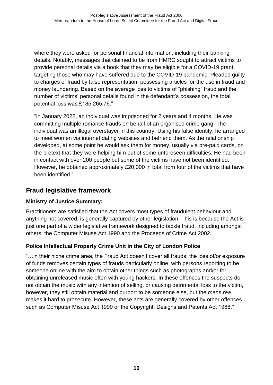where they were asked for personal financial information, including their banking details. Notably, messages that claimed to be from HMRC sought to attract victims to provide personal details via a hook that they may be eligible for a COVID-19 grant, targeting those who may have suffered due to the COVID-19 pandemic. Pleaded guilty to charges of fraud by false representation, possessing articles for the use in fraud and money laundering. Based on the average loss to victims of "phishing" fraud and the number of victims' personal details found in the defendant's possession, the total potential loss was £185,265.76."

["In January 2022,](https://www.cps.gov.uk/cps/news/prolific-romance-fraudster-jailed-cps-issues-warning) an individual was imprisoned for 2 years and 4 months. He was committing multiple romance frauds on behalf of an organised crime gang. The individual was an illegal overstayer in this country. Using his false identity, he arranged to meet women via internet dating websites and befriend them. As the relationship developed, at some point he would ask them for money, usually via pre-paid cards, on the pretext that they were helping him out of some unforeseen difficulties. He had been in contact with over 200 people but some of the victims have not been identified. However, he obtained approximately £20,000 in total from four of the victims that have been identified."

## **Fraud legislative framework**

## **Ministry of Justice Summary:**

Practitioners are satisfied that the Act covers most types of fraudulent behaviour and anything not covered, is generally captured by other legislation. This is because the Act is just one part of a wider legislative framework designed to tackle fraud, including amongst others, the Computer Misuse Act 1990 and the Proceeds of Crime Act 2002.

## **Police Intellectual Property Crime Unit in the City of London Police**

"…in their niche crime area, the Fraud Act doesn't cover all frauds, the loss of/or exposure of funds removes certain types of frauds particularly online, with persons reporting to be someone online with the aim to obtain other things such as photographs and/or for obtaining unreleased music often with young hackers. In these offences the suspects do not obtain the music with any intention of selling, or causing detrimental loss to the victim, however, they still obtain material and purport to be someone else, but the *mens rea* makes it hard to prosecute. However, these acts are generally covered by other offences such as Computer Misuse Act 1990 or the Copyright, Designs and Patents Act 1988."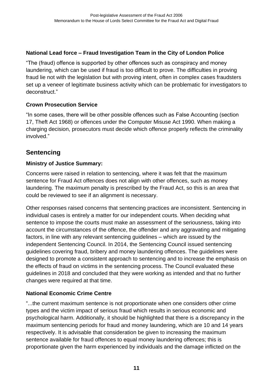## **National Lead force – Fraud Investigation Team in the City of London Police**

"The (fraud) offence is supported by other offences such as conspiracy and money laundering, which can be used if fraud is too difficult to prove. The difficulties in proving fraud lie not with the legislation but with proving intent, often in complex cases fraudsters set up a veneer of legitimate business activity which can be problematic for investigators to deconstruct."

## **Crown Prosecution Service**

"In some cases, there will be other possible offences such as False Accounting (section 17, Theft Act 1968) or offences under the Computer Misuse Act 1990. When making a charging decision, prosecutors must decide which offence properly reflects the criminality involved."

## **Sentencing**

## **Ministry of Justice Summary:**

Concerns were raised in relation to sentencing, where it was felt that the maximum sentence for Fraud Act offences does not align with other offences, such as money laundering. The maximum penalty is prescribed by the Fraud Act, so this is an area that could be reviewed to see if an alignment is necessary.

Other responses raised concerns that sentencing practices are inconsistent. Sentencing in individual cases is entirely a matter for our independent courts. When deciding what sentence to impose the courts must make an assessment of the seriousness, taking into account the circumstances of the offence, the offender and any aggravating and mitigating factors, in line with any relevant sentencing guidelines – which are issued by the independent Sentencing Council. In 2014, the Sentencing Council issued sentencing guidelines covering fraud, bribery and money laundering offences. The guidelines were designed to promote a consistent approach to sentencing and to increase the emphasis on the effects of fraud on victims in the sentencing process. The Council evaluated these guidelines in 2018 and concluded that they were working as intended and that no further changes were required at that time.

## **National Economic Crime Centre**

"...the current maximum sentence is not proportionate when one considers other crime types and the victim impact of serious fraud which results in serious economic and psychological harm. Additionally, it should be highlighted that there is a discrepancy in the maximum sentencing periods for fraud and money laundering, which are 10 and 14 years respectively. It is advisable that consideration be given to increasing the maximum sentence available for fraud offences to equal money laundering offences; this is proportionate given the harm experienced by individuals and the damage inflicted on the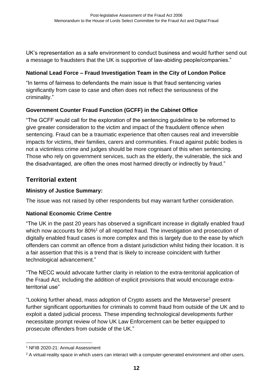UK's representation as a safe environment to conduct business and would further send out a message to fraudsters that the UK is supportive of law-abiding people/companies."

#### **National Lead Force – Fraud Investigation Team in the City of London Police**

"In terms of fairness to defendants the main issue is that fraud sentencing varies significantly from case to case and often does not reflect the seriousness of the criminality."

## **Government Counter Fraud Function (GCFF) in the Cabinet Office**

"The GCFF would call for the exploration of the sentencing guideline to be reformed to give greater consideration to the victim and impact of the fraudulent offence when sentencing. Fraud can be a traumatic experience that often causes real and irreversible impacts for victims, their families, carers and communities. Fraud against public bodies is not a victimless crime and judges should be more cognisant of this when sentencing. Those who rely on government services, such as the elderly, the vulnerable, the sick and the disadvantaged, are often the ones most harmed directly or indirectly by fraud."

## **Territorial extent**

## **Ministry of Justice Summary:**

The issue was not raised by other respondents but may warrant further consideration.

## **National Economic Crime Centre**

"The UK in the past 20 years has observed a significant increase in digitally enabled fraud which now accounts for 80%<sup>1</sup> of all reported fraud. The investigation and prosecution of digitally enabled fraud cases is more complex and this is largely due to the ease by which offenders can commit an offence from a distant jurisdiction whilst hiding their location. It is a fair assertion that this is a trend that is likely to increase coincident with further technological advancement."

"The NECC would advocate further clarity in relation to the extra-territorial application of the Fraud Act, including the addition of explicit provisions that would encourage extraterritorial use"

"Looking further ahead, mass adoption of Crypto assets and the Metaverse<sup>2</sup> present further significant opportunities for criminals to commit fraud from outside of the UK and to exploit a dated judicial process. These impending technological developments further necessitate prompt review of how UK Law Enforcement can be better equipped to prosecute offenders from outside of the UK."

<sup>1</sup> NFIB 2020-21: Annual Assessment

<sup>&</sup>lt;sup>2</sup> A virtual-reality space in which users can interact with a computer-generated environment and other users.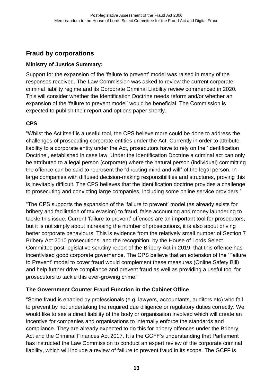## **Fraud by corporations**

## **Ministry of Justice Summary:**

Support for the expansion of the 'failure to prevent' model was raised in many of the responses received. The Law Commission was asked to review the current corporate criminal liability regime and its Corporate Criminal Liability review commenced in 2020. This will consider whether the Identification Doctrine needs reform and/or whether an expansion of the 'failure to prevent model' would be beneficial. The Commission is expected to publish their report and options paper shortly.

## **CPS**

"Whilst the Act itself is a useful tool, the CPS believe more could be done to address the challenges of prosecuting corporate entities under the Act. Currently in order to attribute liability to a corporate entity under the Act, prosecutors have to rely on the 'Identification Doctrine', established in case law. Under the Identification Doctrine a criminal act can only be attributed to a legal person (corporate) where the natural person (individual) committing the offence can be said to represent the "directing mind and will" of the legal person. In large companies with diffused decision-making responsibilities and structures, proving this is inevitably difficult. The CPS believes that the identification doctrine provides a challenge to prosecuting and convicting large companies, including some online service providers."

"The CPS supports the expansion of the 'failure to prevent' model (as already exists for bribery and facilitation of tax evasion) to fraud, false accounting and money laundering to tackle this issue. Current 'failure to prevent' offences are an important tool for prosecutors, but it is not simply about increasing the number of prosecutions, it is also about driving better corporate behaviours. This is evidence from the relatively small number of Section 7 Bribery Act 2010 prosecutions, and the recognition, by the House of Lords Select Committee post-legislative scrutiny report of the Bribery Act in 2019, that this offence has incentivised good corporate governance. The CPS believe that an extension of the 'Failure to Prevent' model to cover fraud would complement these measures (Online Safety Bill) and help further drive compliance and prevent fraud as well as providing a useful tool for prosecutors to tackle this ever-growing crime."

## **The Government Counter Fraud Function in the Cabinet Office**

"Some fraud is enabled by professionals (e.g. lawyers, accountants, auditors etc) who fail to prevent by not undertaking the required due diligence or regulatory duties correctly. We would like to see a direct liability of the body or organisation involved which will create an incentive for companies and organisations to internally enforce the standards and compliance. They are already expected to do this for bribery offences under the Bribery Act and the Criminal Finances Act 2017. It is the GCFF's understanding that Parliament has instructed the Law Commission to conduct an expert review of the corporate criminal liability, which will include a review of failure to prevent fraud in its scope. The GCFF is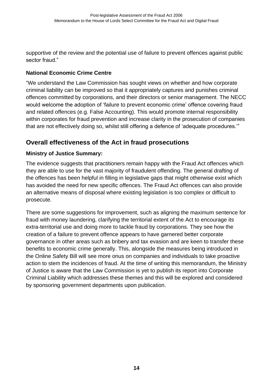supportive of the review and the potential use of failure to prevent offences against public sector fraud."

#### **National Economic Crime Centre**

"We understand the Law Commission has sought views on whether and how corporate criminal liability can be improved so that it appropriately captures and punishes criminal offences committed by corporations, and their directors or senior management. The NECC would welcome the adoption of 'failure to prevent economic crime' offence covering fraud and related offences (e.g. False Accounting). This would promote internal responsibility within corporates for fraud prevention and increase clarity in the prosecution of companies that are not effectively doing so, whilst still offering a defence of 'adequate procedures.'"

## **Overall effectiveness of the Act in fraud prosecutions**

## **Ministry of Justice Summary:**

The evidence suggests that practitioners remain happy with the Fraud Act offences which they are able to use for the vast majority of fraudulent offending. The general drafting of the offences has been helpful in filling in legislative gaps that might otherwise exist which has avoided the need for new specific offences. The Fraud Act offences can also provide an alternative means of disposal where existing legislation is too complex or difficult to prosecute.

There are some suggestions for improvement, such as aligning the maximum sentence for fraud with money laundering, clarifying the territorial extent of the Act to encourage its extra-territorial use and doing more to tackle fraud by corporations. They see how the creation of a failure to prevent offence appears to have garnered better corporate governance in other areas such as bribery and tax evasion and are keen to transfer these benefits to economic crime generally. This, alongside the measures being introduced in the Online Safety Bill will see more onus on companies and individuals to take proactive action to stem the incidences of fraud. At the time of writing this memorandum, the Ministry of Justice is aware that the Law Commission is yet to publish its report into Corporate Criminal Liability which addresses these themes and this will be explored and considered by sponsoring government departments upon publication.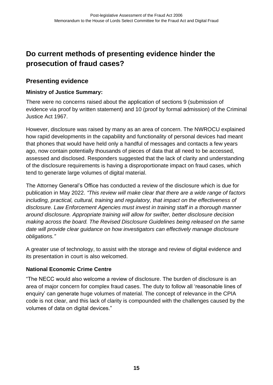## <span id="page-18-0"></span>**Do current methods of presenting evidence hinder the prosecution of fraud cases?**

## **Presenting evidence**

#### **Ministry of Justice Summary:**

There were no concerns raised about the application of sections 9 (submission of evidence via proof by written statement) and 10 (proof by formal admission) of the Criminal Justice Act 1967.

However, disclosure was raised by many as an area of concern. The NWROCU explained how rapid developments in the capability and functionality of personal devices had meant that phones that would have held only a handful of messages and contacts a few years ago, now contain potentially thousands of pieces of data that all need to be accessed, assessed and disclosed. Responders suggested that the lack of clarity and understanding of the disclosure requirements is having a disproportionate impact on fraud cases, which tend to generate large volumes of digital material.

The Attorney General's Office has conducted a review of the disclosure which is due for publication in May 2022. *"This review will make clear that there are a wide range of factors including, practical, cultural, training and regulatory, that impact on the effectiveness of disclosure. Law Enforcement Agencies must invest in training staff in a thorough manner around disclosure. Appropriate training will allow for swifter, better disclosure decision making across the board. The Revised Disclosure Guidelines being released on the same date will provide clear guidance on how investigators can effectively manage disclosure obligations."*

A greater use of technology, to assist with the storage and review of digital evidence and its presentation in court is also welcomed.

#### **National Economic Crime Centre**

"The NECC would also welcome a review of disclosure. The burden of disclosure is an area of major concern for complex fraud cases. The duty to follow all 'reasonable lines of enquiry' can generate huge volumes of material. The concept of relevance in the CPIA code is not clear, and this lack of clarity is compounded with the challenges caused by the volumes of data on digital devices."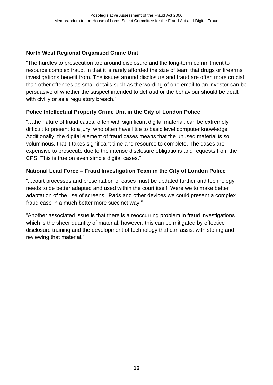## **North West Regional Organised Crime Unit**

"The hurdles to prosecution are around disclosure and the long-term commitment to resource complex fraud, in that it is rarely afforded the size of team that drugs or firearms investigations benefit from. The issues around disclosure and fraud are often more crucial than other offences as small details such as the wording of one email to an investor can be persuasive of whether the suspect intended to defraud or the behaviour should be dealt with civilly or as a regulatory breach."

## **Police Intellectual Property Crime Unit in the City of London Police**

"…the nature of fraud cases, often with significant digital material, can be extremely difficult to present to a jury, who often have little to basic level computer knowledge. Additionally, the digital element of fraud cases means that the unused material is so voluminous, that it takes significant time and resource to complete. The cases are expensive to prosecute due to the intense disclosure obligations and requests from the CPS. This is true on even simple digital cases."

## **National Lead Force – Fraud Investigation Team in the City of London Police**

"...court processes and presentation of cases must be updated further and technology needs to be better adapted and used within the court itself. Were we to make better adaptation of the use of screens, iPads and other devices we could present a complex fraud case in a much better more succinct way."

"Another associated issue is that there is a reoccurring problem in fraud investigations which is the sheer quantity of material, however, this can be mitigated by effective disclosure training and the development of technology that can assist with storing and reviewing that material."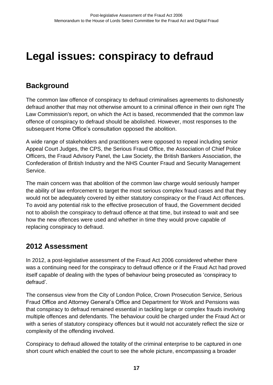## <span id="page-20-0"></span>**Legal issues: conspiracy to defraud**

## <span id="page-20-1"></span>**Background**

The common law offence of conspiracy to defraud criminalises agreements to dishonestly defraud another that may not otherwise amount to a criminal offence in their own right The Law Commission's report, on which the Act is based, recommended that the common law offence of conspiracy to defraud should be abolished. However, most responses to the subsequent Home Office's consultation opposed the abolition.

A wide range of stakeholders and practitioners were opposed to repeal including senior Appeal Court Judges, the CPS, the Serious Fraud Office, the Association of Chief Police Officers, the Fraud Advisory Panel, the Law Society, the British Bankers Association, the Confederation of British Industry and the NHS Counter Fraud and Security Management Service.

The main concern was that abolition of the common law charge would seriously hamper the ability of law enforcement to target the most serious complex fraud cases and that they would not be adequately covered by either statutory conspiracy or the Fraud Act offences. To avoid any potential risk to the effective prosecution of fraud, the Government decided not to abolish the conspiracy to defraud offence at that time, but instead to wait and see how the new offences were used and whether in time they would prove capable of replacing conspiracy to defraud.

## <span id="page-20-2"></span>**2012 Assessment**

In 2012, a post-legislative assessment of the Fraud Act 2006 considered whether there was a continuing need for the conspiracy to defraud offence or if the Fraud Act had proved itself capable of dealing with the types of behaviour being prosecuted as 'conspiracy to defraud'.

The consensus view from the City of London Police, Crown Prosecution Service, Serious Fraud Office and Attorney General's Office and Department for Work and Pensions was that conspiracy to defraud remained essential in tackling large or complex frauds involving multiple offences and defendants. The behaviour could be charged under the Fraud Act or with a series of statutory conspiracy offences but it would not accurately reflect the size or complexity of the offending involved.

Conspiracy to defraud allowed the totality of the criminal enterprise to be captured in one short count which enabled the court to see the whole picture, encompassing a broader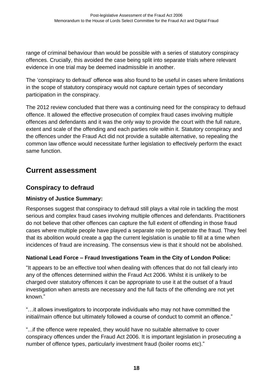range of criminal behaviour than would be possible with a series of statutory conspiracy offences. Crucially, this avoided the case being split into separate trials where relevant evidence in one trial may be deemed inadmissible in another.

The 'conspiracy to defraud' offence was also found to be useful in cases where limitations in the scope of statutory conspiracy would not capture certain types of secondary participation in the conspiracy.

The 2012 review concluded that there was a continuing need for the conspiracy to defraud offence. It allowed the effective prosecution of complex fraud cases involving multiple offences and defendants and it was the only way to provide the court with the full nature, extent and scale of the offending and each parties role within it. Statutory conspiracy and the offences under the Fraud Act did not provide a suitable alternative, so repealing the common law offence would necessitate further legislation to effectively perform the exact same function.

## <span id="page-21-0"></span>**Current assessment**

## **Conspiracy to defraud**

## **Ministry of Justice Summary:**

Responses suggest that conspiracy to defraud still plays a vital role in tackling the most serious and complex fraud cases involving multiple offences and defendants. Practitioners do not believe that other offences can capture the full extent of offending in those fraud cases where multiple people have played a separate role to perpetrate the fraud. They feel that its abolition would create a gap the current legislation is unable to fill at a time when incidences of fraud are increasing. The consensus view is that it should not be abolished.

## **National Lead Force – Fraud Investigations Team in the City of London Police:**

"It appears to be an effective tool when dealing with offences that do not fall clearly into any of the offences determined within the Fraud Act 2006. Whilst it is unlikely to be charged over statutory offences it can be appropriate to use it at the outset of a fraud investigation when arrests are necessary and the full facts of the offending are not yet known."

"…it allows investigators to incorporate individuals who may not have committed the initial/main offence but ultimately followed a course of conduct to commit an offence."

"...if the offence were repealed, they would have no suitable alternative to cover conspiracy offences under the Fraud Act 2006. It is important legislation in prosecuting a number of offence types, particularly investment fraud (boiler rooms etc)."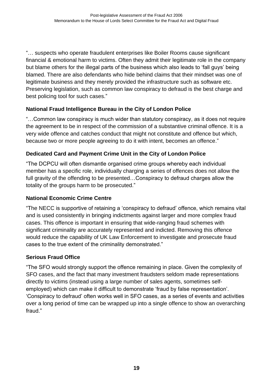"… suspects who operate fraudulent enterprises like Boiler Rooms cause significant financial & emotional harm to victims. Often they admit their legitimate role in the company but blame others for the illegal parts of the business which also leads to 'fall guys' being blamed. There are also defendants who hide behind claims that their mindset was one of legitimate business and they merely provided the infrastructure such as software etc. Preserving legislation, such as common law conspiracy to defraud is the best charge and best policing tool for such cases."

## **National Fraud Intelligence Bureau in the City of London Police**

"…Common law conspiracy is much wider than statutory conspiracy, as it does not require the agreement to be in respect of the commission of a substantive criminal offence. It is a very wide offence and catches conduct that might not constitute and offence but which, because two or more people agreeing to do it with intent, becomes an offence."

## **Dedicated Card and Payment Crime Unit in the City of London Police**

"The DCPCU will often dismantle organised crime groups whereby each individual member has a specific role, individually charging a series of offences does not allow the full gravity of the offending to be presented…Conspiracy to defraud charges allow the totality of the groups harm to be prosecuted."

## **National Economic Crime Centre**

"The NECC is supportive of retaining a 'conspiracy to defraud' offence, which remains vital and is used consistently in bringing indictments against larger and more complex fraud cases. This offence is important in ensuring that wide-ranging fraud schemes with significant criminality are accurately represented and indicted. Removing this offence would reduce the capability of UK Law Enforcement to investigate and prosecute fraud cases to the true extent of the criminality demonstrated."

## **Serious Fraud Office**

"The SFO would strongly support the offence remaining in place. Given the complexity of SFO cases, and the fact that many investment fraudsters seldom made representations directly to victims (instead using a large number of sales agents, sometimes selfemployed) which can make it difficult to demonstrate 'fraud by false representation'. 'Conspiracy to defraud' often works well in SFO cases, as a series of events and activities over a long period of time can be wrapped up into a single offence to show an overarching fraud."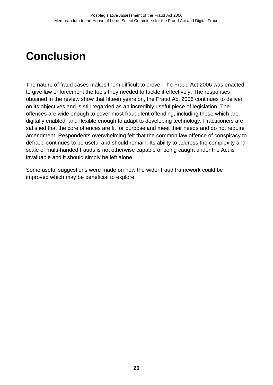## <span id="page-23-0"></span>**Conclusion**

The nature of fraud cases makes them difficult to prove. The Fraud Act 2006 was enacted to give law enforcement the tools they needed to tackle it effectively. The responses obtained in the review show that fifteen years on, the Fraud Act 2006 continues to deliver on its objectives and is still regarded as an incredibly useful piece of legislation. The offences are wide enough to cover most fraudulent offending, including those which are digitally enabled, and flexible enough to adapt to developing technology. Practitioners are satisfied that the core offences are fit for purpose and meet their needs and do not require amendment. Respondents overwhelming felt that the common law offence of conspiracy to defraud continues to be useful and should remain. Its ability to address the complexity and scale of multi-handed frauds is not otherwise capable of being caught under the Act is invaluable and it should simply be left alone.

Some useful suggestions were made on how the wider fraud framework could be improved which may be beneficial to explore.